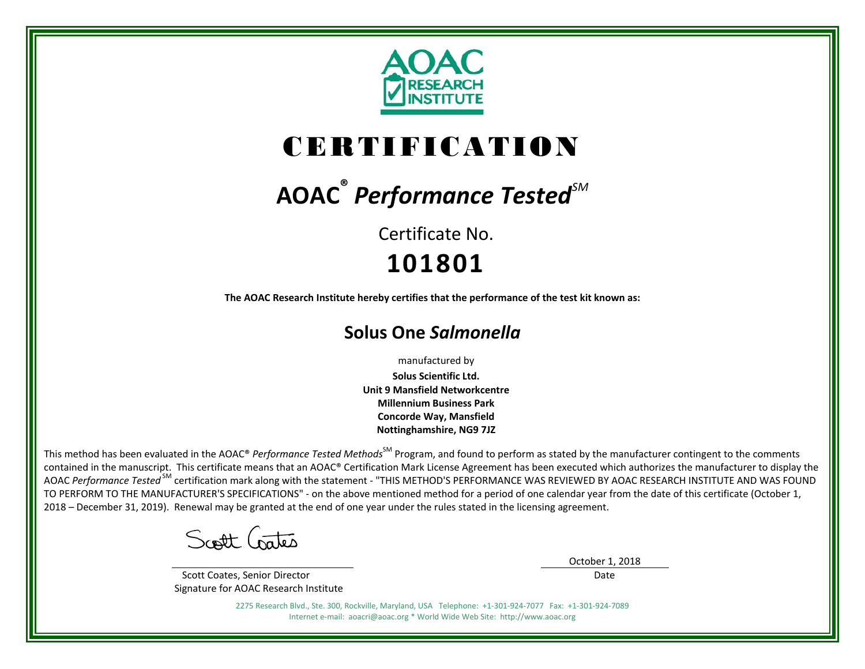

# CERTIFICATION

# **AOAC ®** *Performance TestedSM*

Certificate No.**101801**

**The AOAC Research Institute hereby certifies that the performance of the test kit known as:** 

# **Solus One** *Salmonella*

manufactured by

**Solus Scientific Ltd. Unit 9 Mansfield Networkcentre Millennium Business Park Concorde Way, Mansfield Nottinghamshire, NG9 7JZ**

This method has been evaluated in the AOAC® *Performance Tested Methods*<sup>SM</sup> Program, and found to perform as stated by the manufacturer contingent to the comments contained in the manuscript. This certificate means that an AOAC® Certification Mark License Agreement has been executed which authorizes the manufacturer to display the AOAC Performance Tested<sup>SM</sup> certification mark along with the statement - "THIS METHOD'S PERFORMANCE WAS REVIEWED BY AOAC RESEARCH INSTITUTE AND WAS FOUND TO PERFORM TO THE MANUFACTURER'S SPECIFICATIONS" ‐ on the above mentioned method for a period of one calendar year from the date of this certificate (October 1, 2018 – December 31, 2019). Renewal may be granted at the end of one year under the rules stated in the licensing agreement.

Scott Crates

 Scott Coates, Senior Director Signature for AOAC Research Institute October 1, 2018

Date

2275 Research Blvd., Ste. 300, Rockville, Maryland, USA Telephone: +1‐301‐924‐7077 Fax: +1‐301‐924‐7089 Internet e‐mail: aoacri@aoac.org \* World Wide Web Site: http://www.aoac.org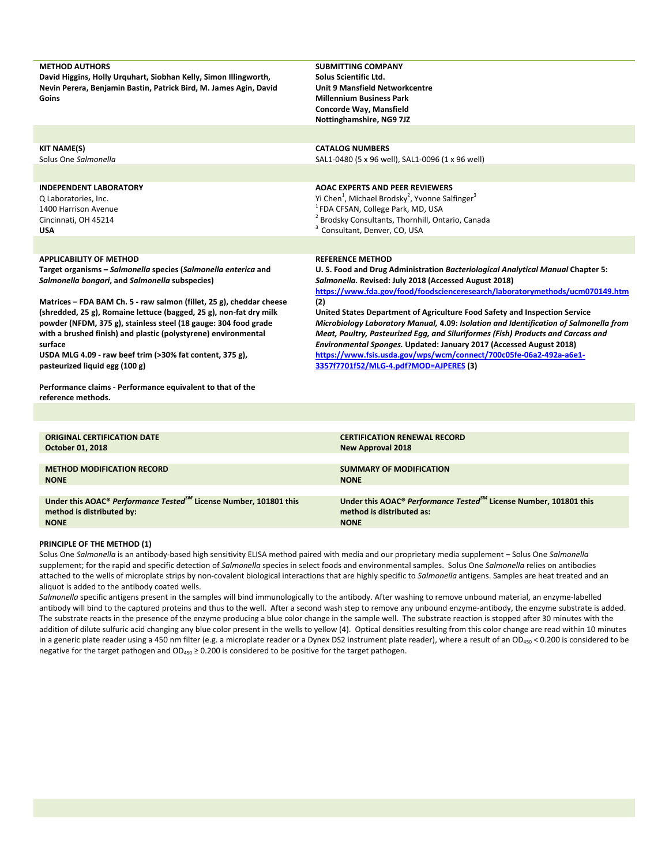| <b>METHOD AUTHORS</b><br>David Higgins, Holly Urquhart, Siobhan Kelly, Simon Illingworth,<br>Nevin Perera, Benjamin Bastin, Patrick Bird, M. James Agin, David<br>Goins                                                                                                                                                                                                                  | <b>SUBMITTING COMPANY</b><br>Solus Scientific Ltd.<br><b>Unit 9 Mansfield Networkcentre</b><br><b>Millennium Business Park</b><br>Concorde Way, Mansfield<br>Nottinghamshire, NG9 7JZ                                                                                                                                                                                                                                                                 |
|------------------------------------------------------------------------------------------------------------------------------------------------------------------------------------------------------------------------------------------------------------------------------------------------------------------------------------------------------------------------------------------|-------------------------------------------------------------------------------------------------------------------------------------------------------------------------------------------------------------------------------------------------------------------------------------------------------------------------------------------------------------------------------------------------------------------------------------------------------|
|                                                                                                                                                                                                                                                                                                                                                                                          |                                                                                                                                                                                                                                                                                                                                                                                                                                                       |
| <b>KIT NAME(S)</b><br>Solus One Salmonella                                                                                                                                                                                                                                                                                                                                               | <b>CATALOG NUMBERS</b><br>SAL1-0480 (5 x 96 well), SAL1-0096 (1 x 96 well)                                                                                                                                                                                                                                                                                                                                                                            |
| <b>INDEPENDENT LABORATORY</b><br>Q Laboratories, Inc.<br>1400 Harrison Avenue<br>Cincinnati, OH 45214<br><b>USA</b>                                                                                                                                                                                                                                                                      | <b>AOAC EXPERTS AND PEER REVIEWERS</b><br>Yi Chen <sup>1</sup> , Michael Brodsky <sup>2</sup> , Yvonne Salfinger <sup>3</sup><br><sup>1</sup> FDA CFSAN, College Park, MD, USA<br>Brodsky Consultants, Thornhill, Ontario, Canada<br>Consultant, Denver, CO, USA                                                                                                                                                                                      |
|                                                                                                                                                                                                                                                                                                                                                                                          |                                                                                                                                                                                                                                                                                                                                                                                                                                                       |
| <b>APPLICABILITY OF METHOD</b><br>Target organisms - Salmonella species (Salmonella enterica and<br>Salmonella bongori, and Salmonella subspecies)                                                                                                                                                                                                                                       | <b>REFERENCE METHOD</b><br>U. S. Food and Drug Administration Bacteriological Analytical Manual Chapter 5:<br>Salmonella. Revised: July 2018 (Accessed August 2018)<br>https://www.fda.gov/food/foodscienceresearch/laboratorymethods/ucm070149.htm                                                                                                                                                                                                   |
| Matrices - FDA BAM Ch. 5 - raw salmon (fillet, 25 g), cheddar cheese<br>(shredded, 25 g), Romaine lettuce (bagged, 25 g), non-fat dry milk<br>powder (NFDM, 375 g), stainless steel (18 gauge: 304 food grade<br>with a brushed finish) and plastic (polystyrene) environmental<br>surface<br>USDA MLG 4.09 - raw beef trim (>30% fat content, 375 g),<br>pasteurized liquid egg (100 g) | (2)<br>United States Department of Agriculture Food Safety and Inspection Service<br>Microbiology Laboratory Manual, 4.09: Isolation and Identification of Salmonella from<br>Meat, Poultry, Pasteurized Egg, and Siluriformes (Fish) Products and Carcass and<br>Environmental Sponges. Updated: January 2017 (Accessed August 2018)<br>https://www.fsis.usda.gov/wps/wcm/connect/700c05fe-06a2-492a-a6e1-<br>3357f7701f52/MLG-4.pdf?MOD=AJPERES (3) |
| Performance claims - Performance equivalent to that of the<br>reference methods.                                                                                                                                                                                                                                                                                                         |                                                                                                                                                                                                                                                                                                                                                                                                                                                       |
|                                                                                                                                                                                                                                                                                                                                                                                          |                                                                                                                                                                                                                                                                                                                                                                                                                                                       |
| <b>ORIGINAL CERTIFICATION DATE</b><br><b>October 01, 2018</b>                                                                                                                                                                                                                                                                                                                            | <b>CERTIFICATION RENEWAL RECORD</b><br><b>New Approval 2018</b>                                                                                                                                                                                                                                                                                                                                                                                       |

| <b>METHOD MODIFICATION RECORD</b><br><b>NONE</b>                                          | <b>SUMMARY OF MODIFICATION</b><br><b>NONE</b>                                 |
|-------------------------------------------------------------------------------------------|-------------------------------------------------------------------------------|
|                                                                                           |                                                                               |
| Under this AOAC <sup>®</sup> Performance Tested <sup>SM</sup> License Number, 101801 this | Under this AOAC® Performance Tested <sup>SM</sup> License Number, 101801 this |
| method is distributed by:                                                                 | method is distributed as:                                                     |
| <b>NONE</b>                                                                               | <b>NONE</b>                                                                   |

# **PRINCIPLE OF THE METHOD (1)**

Solus One *Salmonella* is an antibody‐based high sensitivity ELISA method paired with media and our proprietary media supplement – Solus One *Salmonella* supplement; for the rapid and specific detection of *Salmonella* species in select foods and environmental samples. Solus One *Salmonella* relies on antibodies attached to the wells of microplate strips by non-covalent biological interactions that are highly specific to Salmonella antigens. Samples are heat treated and an aliquot is added to the antibody coated wells.

*Salmonella* specific antigens present in the samples will bind immunologically to the antibody. After washing to remove unbound material, an enzyme‐labelled antibody will bind to the captured proteins and thus to the well. After a second wash step to remove any unbound enzyme-antibody, the enzyme substrate is added. The substrate reacts in the presence of the enzyme producing a blue color change in the sample well. The substrate reaction is stopped after 30 minutes with the addition of dilute sulfuric acid changing any blue color present in the wells to yellow (4). Optical densities resulting from this color change are read within 10 minutes in a generic plate reader using a 450 nm filter (e.g. a microplate reader or a Dynex DS2 instrument plate reader), where a result of an OD<sub>450</sub> < 0.200 is considered to be negative for the target pathogen and  $OD_{450} \ge 0.200$  is considered to be positive for the target pathogen.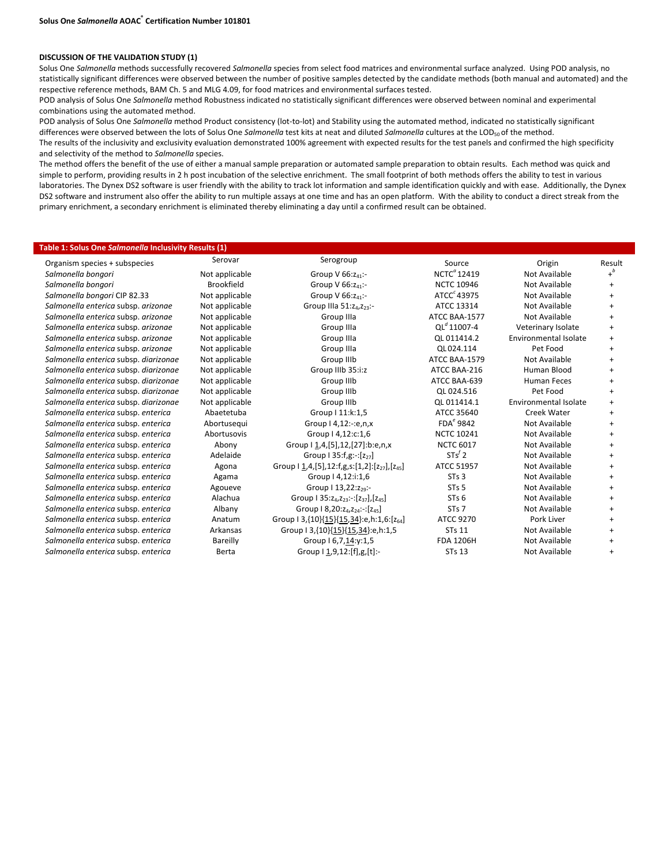#### **DISCUSSION OF THE VALIDATION STUDY (1)**

Solus One *Salmonella* methods successfully recovered *Salmonella* species from select food matrices and environmental surface analyzed. Using POD analysis, no statistically significant differences were observed between the number of positive samples detected by the candidate methods (both manual and automated) and the respective reference methods, BAM Ch. 5 and MLG 4.09, for food matrices and environmental surfaces tested.

POD analysis of Solus One *Salmonella* method Robustness indicated no statistically significant differences were observed between nominal and experimental combinations using the automated method.

POD analysis of Solus One Salmonella method Product consistency (lot-to-lot) and Stability using the automated method, indicated no statistically significant differences were observed between the lots of Solus One Salmonella test kits at neat and diluted Salmonella cultures at the LOD<sub>50</sub> of the method.

The results of the inclusivity and exclusivity evaluation demonstrated 100% agreement with expected results for the test panels and confirmed the high specificity and selectivity of the method to *Salmonella* species.

The method offers the benefit of the use of either a manual sample preparation or automated sample preparation to obtain results. Each method was quick and simple to perform, providing results in 2 h post incubation of the selective enrichment. The small footprint of both methods offers the ability to test in various laboratories. The Dynex DS2 software is user friendly with the ability to track lot information and sample identification quickly and with ease. Additionally, the Dynex DS2 software and instrument also offer the ability to run multiple assays at one time and has an open platform. With the ability to conduct a direct streak from the primary enrichment, a secondary enrichment is eliminated thereby eliminating a day until a confirmed result can be obtained.

#### **Table 1: Solus One** *Salmonella* **Inclusivity Results (1)**

| Organism species + subspecies         | Serovar           | Serogroup                                                                           | Source                | Origin                | Result    |
|---------------------------------------|-------------------|-------------------------------------------------------------------------------------|-----------------------|-----------------------|-----------|
| Salmonella bongori                    | Not applicable    | Group V $66:z_{41}$ :-                                                              | $NCTC^{\alpha}$ 12419 | Not Available         |           |
| Salmonella bongori                    | <b>Brookfield</b> | Group V $66:z_{41}$ :-                                                              | <b>NCTC 10946</b>     | Not Available         |           |
| Salmonella bongori CIP 82.33          | Not applicable    | Group V $66:z_{41}$ :-                                                              | $ATCCc$ 43975         | Not Available         | $\ddot{}$ |
| Salmonella enterica subsp. arizonae   | Not applicable    | Group IIIa 51:z <sub>4</sub> ,z <sub>23</sub> :-                                    | ATCC 13314            | Not Available         | $\ddot{}$ |
| Salmonella enterica subsp. arizonae   | Not applicable    | Group IIIa                                                                          | ATCC BAA-1577         | Not Available         | $\ddot{}$ |
| Salmonella enterica subsp. arizonae   | Not applicable    | Group IIIa                                                                          | $OL^{d}$ 11007-4      | Veterinary Isolate    | $\ddot{}$ |
| Salmonella enterica subsp. arizonae   | Not applicable    | Group IIIa                                                                          | OL 011414.2           | Environmental Isolate | $\ddot{}$ |
| Salmonella enterica subsp. arizonae   | Not applicable    | Group IIIa                                                                          | OL024.114             | Pet Food              | $\ddot{}$ |
| Salmonella enterica subsp. diarizonae | Not applicable    | Group IIIb                                                                          | ATCC BAA-1579         | Not Available         |           |
| Salmonella enterica subsp. diarizonae | Not applicable    | Group IIIb 35:i:z                                                                   | ATCC BAA-216          | Human Blood           | $\ddot{}$ |
| Salmonella enterica subsp. diarizonae | Not applicable    | Group IIIb                                                                          | ATCC BAA-639          | <b>Human Feces</b>    |           |
| Salmonella enterica subsp. diarizonae | Not applicable    | Group IIIb                                                                          | OL 024.516            | Pet Food              | $\ddot{}$ |
| Salmonella enterica subsp. diarizonae | Not applicable    | Group IIIb                                                                          | OL 011414.1           | Environmental Isolate | $\ddot{}$ |
| Salmonella enterica subsp. enterica   | Abaetetuba        | Group   11:k:1,5                                                                    | ATCC 35640            | Creek Water           | $\ddot{}$ |
| Salmonella enterica subsp. enterica   | Abortusequi       | Group   4,12:-:e,n,x                                                                | $FDAe$ 9842           | Not Available         | $\ddot{}$ |
| Salmonella enterica subsp. enterica   | Abortusovis       | Group   4,12:c:1,6                                                                  | <b>NCTC 10241</b>     | Not Available         |           |
| Salmonella enterica subsp. enterica   | Abony             | Group I 1,4,[5],12,[27]:b:e,n,x                                                     | <b>NCTC 6017</b>      | Not Available         | $\ddot{}$ |
| Salmonella enterica subsp. enterica   | Adelaide          | Group 1 35: f, $g$ : -: $[z_{27}]$                                                  | $STs^f$ 2             | Not Available         | $\ddot{}$ |
| Salmonella enterica subsp. enterica   | Agona             | Group $1 \underline{1}$ ,4,[5],12:f,g,s:[1,2]:[z <sub>27</sub> ],[z <sub>45</sub> ] | ATCC 51957            | Not Available         | $\ddot{}$ |
| Salmonella enterica subsp. enterica   | Agama             | Group   4,12:i:1,6                                                                  | STs <sub>3</sub>      | Not Available         |           |
| Salmonella enterica subsp. enterica   | Agoueve           | Group   13,22:z <sub>29</sub> :-                                                    | ST <sub>s</sub> 5     | <b>Not Available</b>  | $\ddot{}$ |
| Salmonella enterica subsp. enterica   | Alachua           | Group 1 35: $z_{4}, z_{23}$ : [ $z_{37}$ ], $[z_{45}]$                              | ST <sub>s</sub> 6     | Not Available         |           |
| Salmonella enterica subsp. enterica   | Albany            | Group 18,20: Z <sub>4</sub> , Z <sub>24</sub> : -: [Z <sub>45</sub> ]               | STs 7                 | <b>Not Available</b>  | $\ddot{}$ |
| Salmonella enterica subsp. enterica   | Anatum            | Group 13, {10} {15} {15, 34}: e, h: 1, 6: [ $z_{64}$ ]                              | ATCC 9270             | Pork Liver            | $\ddot{}$ |
| Salmonella enterica subsp. enterica   | Arkansas          | Group 13, {10} {15} {15, 34}: e, h: 1, 5                                            | <b>STs 11</b>         | Not Available         | $\ddot{}$ |
| Salmonella enterica subsp. enterica   | Bareilly          | Group I 6,7,14:y:1,5                                                                | <b>FDA 1206H</b>      | <b>Not Available</b>  | $+$       |
| Salmonella enterica subsp. enterica   | Berta             | Group   1,9,12:[f],g,[t]:-                                                          | <b>STs 13</b>         | Not Available         |           |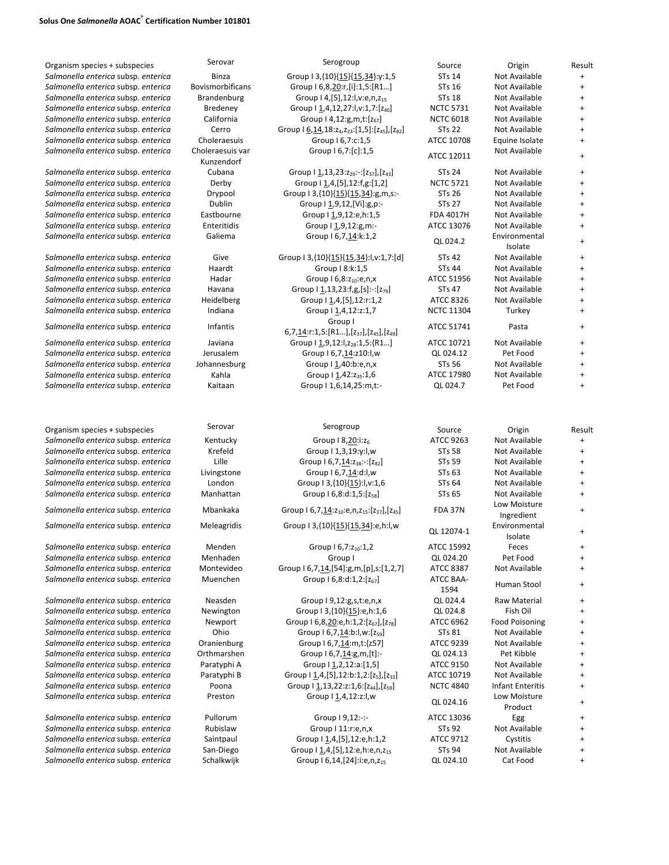## **Solus One** *Salmonella* **AOAC® Certification Number 101801**

| Organism species + subspecies       | Serovar                        | Serogroup                                                                                            | Source            | Origin                   | Result    |
|-------------------------------------|--------------------------------|------------------------------------------------------------------------------------------------------|-------------------|--------------------------|-----------|
| Salmonella enterica subsp. enterica | <b>Binza</b>                   | Group   3, {10} {15} {15, 34}: y: 1, 5                                                               | <b>STs 14</b>     | Not Available            | $\ddot{}$ |
| Salmonella enterica subsp. enterica | <b>Bovismorbificans</b>        | Group   6,8,20:r,[i]:1,5:[R1]                                                                        | STs 16            | Not Available            | $\ddot{}$ |
| Salmonella enterica subsp. enterica | Brandenburg                    | Group   4, [5], 12: l, v: e, n, z <sub>15</sub>                                                      | <b>STs 18</b>     | Not Available            | $\ddot{}$ |
| Salmonella enterica subsp. enterica | <b>Bredeney</b>                | Group   1,4,12,27:l,v:1,7:[z <sub>40</sub> ]                                                         | <b>NCTC 5731</b>  | Not Available            | $\ddot{}$ |
|                                     |                                |                                                                                                      |                   |                          |           |
| Salmonella enterica subsp. enterica | California                     | Group   4,12:g,m,t:[z <sub>67</sub> ]                                                                | <b>NCTC 6018</b>  | Not Available            | $\ddot{}$ |
| Salmonella enterica subsp. enterica | Cerro                          | Group I 6, 14, 18: z <sub>4</sub> , z <sub>23</sub> : [1, 5]: [z <sub>45</sub> ], [z <sub>82</sub> ] | <b>STs 22</b>     | Not Available            | $\ddot{}$ |
| Salmonella enterica subsp. enterica | Choleraesuis                   | Group I 6,7:c:1,5                                                                                    | ATCC 10708        | Equine Isolate           | $\ddot{}$ |
| Salmonella enterica subsp. enterica | Choleraesuis var<br>Kunzendorf | Group I 6,7:[c]:1,5                                                                                  | ATCC 12011        | Not Available            | +         |
| Salmonella enterica subsp. enterica | Cubana                         | Group $\left[ \frac{1}{1,13,23:z_{29}} \right]$ : $\left[ z_{37} \right]$ , $\left[ z_{43} \right]$  | <b>STs 24</b>     | Not Available            | $\ddot{}$ |
| Salmonella enterica subsp. enterica | Derby                          | Group   1,4,[5],12:f,g:[1,2]                                                                         | <b>NCTC 5721</b>  | Not Available            | $\ddot{}$ |
| Salmonella enterica subsp. enterica | Drypool                        | Group   3,{10}{15}{15,34}:g,m,s:-                                                                    | <b>STs 26</b>     | Not Available            | $\ddot{}$ |
| Salmonella enterica subsp. enterica | Dublin                         | Group I 1,9,12, [Vi]:g,p:-                                                                           | <b>STs 27</b>     | Not Available            | $\ddot{}$ |
| Salmonella enterica subsp. enterica | Eastbourne                     | Group I 1,9,12:e,h:1,5                                                                               | <b>FDA 4017H</b>  | Not Available            | $\ddot{}$ |
| Salmonella enterica subsp. enterica | Enteritidis                    | Group   1,9,12:g,m:-                                                                                 | ATCC 13076        | Not Available            | $\ddot{}$ |
|                                     |                                |                                                                                                      |                   |                          |           |
| Salmonella enterica subsp. enterica | Galiema                        | Group I 6,7,14:k:1,2                                                                                 | QL 024.2          | Environmental<br>Isolate | $\ddot{}$ |
| Salmonella enterica subsp. enterica | Give                           | Group   3,{10}{15}{15,34}: ,v:1,7:[d]                                                                | <b>STs 42</b>     | Not Available            | $\ddot{}$ |
| Salmonella enterica subsp. enterica | Haardt                         | Group   8:k:1,5                                                                                      | <b>STs 44</b>     | Not Available            | $\ddot{}$ |
| Salmonella enterica subsp. enterica | Hadar                          | Group I 6,8:z <sub>10</sub> :e,n,x                                                                   | ATCC 51956        | Not Available            | $\ddot{}$ |
| Salmonella enterica subsp. enterica | Havana                         | Group   1,13,23:f,g,[s]:-:[z <sub>79</sub> ]                                                         | <b>STs 47</b>     | Not Available            | +         |
| Salmonella enterica subsp. enterica | Heidelberg                     | Group   1,4, [5], 12: r: 1, 2                                                                        | ATCC 8326         | Not Available            | $\ddot{}$ |
| Salmonella enterica subsp. enterica | Indiana                        | Group I 1,4,12:z:1,7                                                                                 | <b>NCTC 11304</b> | Turkey                   | $\ddot{}$ |
| Salmonella enterica subsp. enterica | Infantis                       | Group I                                                                                              | ATCC 51741        | Pasta                    | +         |
|                                     |                                | 6,7,14:r:1,5:[R1],[z <sub>37</sub> ],[z <sub>45</sub> ],[z <sub>49</sub> ]                           |                   |                          |           |
| Salmonella enterica subsp. enterica | Javiana                        | Group   1,9,12:1,z <sub>28</sub> :1,5:{R1]                                                           | ATCC 10721        | Not Available            | $\ddot{}$ |
| Salmonella enterica subsp. enterica | Jerusalem                      | Group I 6,7,14:z10:l,w                                                                               | QL 024.12         | Pet Food                 | $\ddot{}$ |
| Salmonella enterica subsp. enterica | Johannesburg                   | Group I 1,40:b:e,n,x                                                                                 | <b>STs 56</b>     | Not Available            | $\ddot{}$ |
| Salmonella enterica subsp. enterica | Kahla                          | Group   1,42:235:1,6                                                                                 | ATCC 17980        | Not Available            | +         |
| Salmonella enterica subsp. enterica | Kaitaan                        | Group   1,6,14,25:m,t:-                                                                              | QL 024.7          | Pet Food                 | $\ddot{}$ |
|                                     |                                |                                                                                                      |                   |                          |           |
| Organism species + subspecies       | Serovar                        | Serogroup                                                                                            | Source            | Origin                   | Result    |
| Salmonella enterica subsp. enterica | Kentucky                       | Group   8,20:i:z <sub>6</sub>                                                                        | ATCC 9263         | Not Available            | $\ddot{}$ |
| Salmonella enterica subsp. enterica | Krefeld                        | Group   1,3,19:y:l,w                                                                                 | <b>STs 58</b>     | Not Available            | $\ddot{}$ |
| Salmonella enterica subsp. enterica | Lille                          | Group 16,7,14:238:-:[282]                                                                            | <b>STs 59</b>     | Not Available            | $\ddot{}$ |
| Salmonella enterica subsp. enterica | Livingstone                    | Group I 6,7,14:d:l,w                                                                                 | STs 63            | Not Available            | $\ddot{}$ |
| Salmonella enterica subsp. enterica | London                         | Group   3,{10}{15}:l,v:1,6                                                                           | <b>STs 64</b>     | Not Available            | $\ddot{}$ |
| Salmonella enterica subsp. enterica | Manhattan                      | Group 1 6,8:d:1,5:[z <sub>58</sub> ]                                                                 | <b>STs 65</b>     | Not Available            | $\ddot{}$ |
|                                     |                                |                                                                                                      |                   | Low Moisture             |           |
| Salmonella enterica subsp. enterica | Mbankaka                       | Group 1 6,7,14:z <sub>10</sub> :e,n,z <sub>15</sub> :[z <sub>37</sub> ],[z <sub>45</sub> ]           | <b>FDA 37N</b>    | Ingredient               | +         |
| Salmonella enterica subsp. enterica | Meleagridis                    | Group   3,{10}{15}{15,34}:e,h:l,w                                                                    |                   |                          |           |
|                                     |                                |                                                                                                      | QL 12074-1        | Environmental            | +         |
|                                     |                                |                                                                                                      |                   | Isolate                  |           |
| Salmonella enterica subsp. enterica | Menden                         | Group I 6,7:z <sub>10</sub> :1,2                                                                     | ATCC 15992        | Feces                    | +         |
| Salmonella enterica subsp. enterica | Menhaden                       | Group I                                                                                              | QL 024.20         | Pet Food                 | $\ddot{}$ |
| Salmonella enterica subsp. enterica | Montevideo                     | Group   6,7,14,[54]:g,m,[p],s:[1,2,7]                                                                | <b>ATCC 8387</b>  | Not Available            | +         |
| Salmonella enterica subsp. enterica | Muenchen                       | Group I 6,8:d:1,2:[z <sub>67</sub> ]                                                                 | ATCC BAA-         | Human Stool              |           |
|                                     |                                |                                                                                                      | 1594              |                          |           |
| Salmonella enterica subsp. enterica | Neasden                        | Group I 9,12:g,s,t:e,n,x                                                                             | QL 024.4          | Raw Material             | +         |
| Salmonella enterica subsp. enterica | Newington                      | Group I 3, {10} {15}: e, h: 1, 6                                                                     | QL 024.8          | Fish Oil                 | +         |
| Salmonella enterica subsp. enterica | Newport                        | Group I 6,8,20:e,h:1,2:[z <sub>67</sub> ],[z <sub>78</sub> ]                                         | ATCC 6962         | <b>Food Poisoning</b>    | +         |
| Salmonella enterica subsp. enterica | Ohio                           | Group $16,7,14$ :b:l,w: $[z_{59}]$                                                                   | STs 81            | Not Available            | +         |
| Salmonella enterica subsp. enterica | Oranienburg                    | Group I 6,7,14:m,t:{z57]                                                                             | ATCC 9239         | Not Available            | $\ddot{}$ |
| Salmonella enterica subsp. enterica | Orthmarshen                    | Group I 6,7,14:g,m,[t]:-                                                                             | QL 024.13         | Pet Kibble               | +         |
| Salmonella enterica subsp. enterica | Paratyphi A                    | Group I 1,2,12:a:[1,5]                                                                               | <b>ATCC 9150</b>  | Not Available            | +         |
| Salmonella enterica subsp. enterica | Paratyphi B                    | Group   1,4, [5], 12: b: 1, 2: [z <sub>5</sub> ], [z <sub>33</sub> ]                                 | ATCC 10719        | Not Available            |           |
| Salmonella enterica subsp. enterica | Poona                          | Group   1,13,22:z:1,6:[z44],[z <sub>59</sub> ]                                                       | <b>NCTC 4840</b>  | <b>Infant Enteritis</b>  | +         |
| Salmonella enterica subsp. enterica | Preston                        | Group I 1,4,12:z:l,w                                                                                 | QL 024.16         | Low Moisture             | +         |
|                                     |                                |                                                                                                      |                   | Product                  |           |
| Salmonella enterica subsp. enterica | Pullorum                       | Group 19,12:-:-                                                                                      | ATCC 13036        | Egg                      | +         |
| Salmonella enterica subsp. enterica | Rubislaw                       | Group I 11:r:e,n,x                                                                                   | STs 92            | Not Available            |           |
| Salmonella enterica subsp. enterica | Saintpaul                      | Group I 1,4,[5],12:e,h:1,2                                                                           | ATCC 9712         | Cystitis                 |           |
| Salmonella enterica subsp. enterica | San-Diego                      | Group I 1,4,[5],12:e,h:e,n,z <sub>15</sub>                                                           | STs 94            | Not Available            | +         |
| Salmonella enterica subsp. enterica | Schalkwijk                     | Group 16,14, [24]: i: e, n, z <sub>15</sub>                                                          | QL 024.10         | Cat Food                 | +         |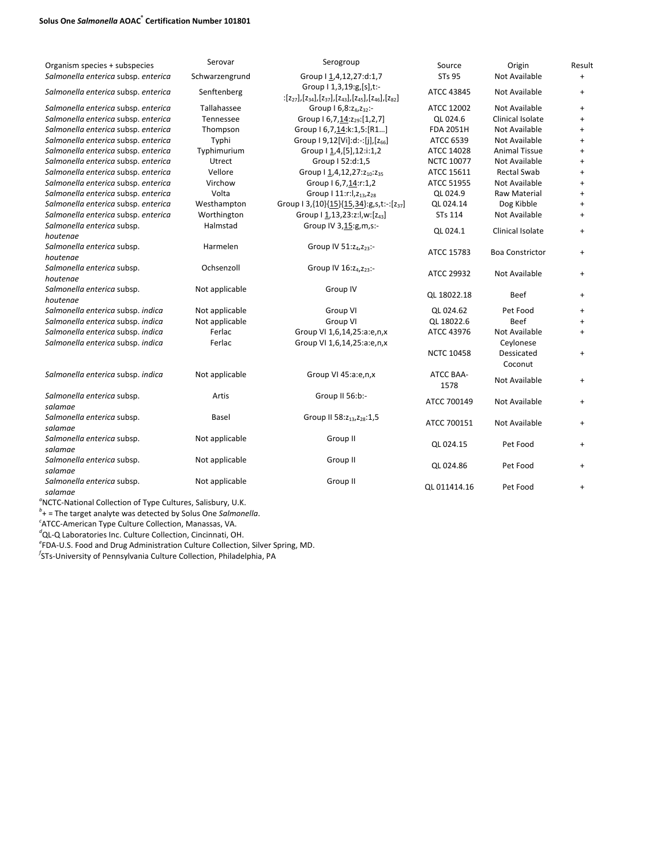## **Solus One** *Salmonella* **AOAC® Certification Number 101801**

| Organism species + subspecies          | Serovar        | Serogroup                                                                                     | Source            | Origin                 | Result    |
|----------------------------------------|----------------|-----------------------------------------------------------------------------------------------|-------------------|------------------------|-----------|
| Salmonella enterica subsp. enterica    | Schwarzengrund | Group   1,4,12,27:d:1,7                                                                       | <b>STs 95</b>     | Not Available          | $\ddot{}$ |
| Salmonella enterica subsp. enterica    | Senftenberg    | Group   1,3,19:g,[s],t:-<br>$:[z_{27}],[z_{34}],[z_{37}],[z_{43}],[z_{45}],[z_{46}],[z_{82}]$ | ATCC 43845        | Not Available          | $\ddot{}$ |
| Salmonella enterica subsp. enterica    | Tallahassee    | Group 16,8:24,232:-                                                                           | ATCC 12002        | Not Available          | $+$       |
| Salmonella enterica subsp. enterica    | Tennessee      | Group I 6, 7, 14: 229: [1, 2, 7]                                                              | QL 024.6          | Clinical Isolate       | $+$       |
| Salmonella enterica subsp. enterica    | Thompson       | Group   6,7,14:k:1,5:[R1]                                                                     | <b>FDA 2051H</b>  | Not Available          | $+$       |
| Salmonella enterica subsp. enterica    | Typhi          | Group $[9,12[\text{Vi}]:d:-[[], [z_{66}]]$                                                    | ATCC 6539         | Not Available          | $+$       |
| Salmonella enterica subsp. enterica    | Typhimurium    | Group I 1,4,[5],12:i:1,2                                                                      | ATCC 14028        | <b>Animal Tissue</b>   | $+$       |
| Salmonella enterica subsp. enterica    | Utrect         | Group I 52:d:1,5                                                                              | <b>NCTC 10077</b> | Not Available          | $\ddot{}$ |
| Salmonella enterica subsp. enterica    | Vellore        | Group   1,4,12,27:z <sub>10</sub> :z <sub>35</sub>                                            | ATCC 15611        | <b>Rectal Swab</b>     | $+$       |
| Salmonella enterica subsp. enterica    | Virchow        | Group I 6,7,14:r:1,2                                                                          | ATCC 51955        | Not Available          | $+$       |
| Salmonella enterica subsp. enterica    | Volta          | Group   11:r: l, z <sub>13</sub> , z <sub>28</sub>                                            | QL 024.9          | <b>Raw Material</b>    | $+$       |
| Salmonella enterica subsp. enterica    | Westhampton    | Group   3,{10}{15}{15,34}:g,s,t:-:[z <sub>37</sub> ]                                          | QL 024.14         | Dog Kibble             | $\ddot{}$ |
| Salmonella enterica subsp. enterica    | Worthington    | Group   1,13,23:z:l,w:[z <sub>43</sub> ]                                                      | <b>STs 114</b>    | Not Available          | $\ddot{}$ |
| Salmonella enterica subsp.<br>houtenge | Halmstad       | Group IV 3, 15:g, m, s:-                                                                      | QL 024.1          | Clinical Isolate       | $+$       |
| Salmonella enterica subsp.<br>houtenae | Harmelen       | Group IV 51:24,223:-                                                                          | ATCC 15783        | <b>Boa Constrictor</b> | $+$       |
| Salmonella enterica subsp.<br>houtenae | Ochsenzoll     | Group IV 16:24,223:-                                                                          | ATCC 29932        | Not Available          | $+$       |
| Salmonella enterica subsp.<br>houtenae | Not applicable | Group IV                                                                                      | QL 18022.18       | Beef                   | $+$       |
| Salmonella enterica subsp. indica      | Not applicable | Group VI                                                                                      | QL 024.62         | Pet Food               | $\ddot{}$ |
| Salmonella enterica subsp. indica      | Not applicable | Group VI                                                                                      | QL 18022.6        | Beef                   | $\ddot{}$ |
| Salmonella enterica subsp. indica      | Ferlac         | Group VI 1,6,14,25:a:e,n,x                                                                    | ATCC 43976        | Not Available          | $\ddot{}$ |
| Salmonella enterica subsp. indica      | Ferlac         | Group VI 1,6,14,25:a:e,n,x                                                                    |                   | Ceylonese              |           |
|                                        |                |                                                                                               | <b>NCTC 10458</b> | Dessicated<br>Coconut  | $\ddot{}$ |
| Salmonella enterica subsp. indica      | Not applicable | Group VI 45:a:e,n,x                                                                           | ATCC BAA-<br>1578 | Not Available          | $+$       |
| Salmonella enterica subsp.<br>salamae  | Artis          | Group II 56:b:-                                                                               | ATCC 700149       | Not Available          | $+$       |
| Salmonella enterica subsp.<br>salamae  | Basel          | Group II 58: Z <sub>13</sub> , Z <sub>28</sub> : 1, 5                                         | ATCC 700151       | Not Available          | $+$       |
| Salmonella enterica subsp.<br>salamae  | Not applicable | Group II                                                                                      | OL 024.15         | Pet Food               | $\ddot{}$ |
| Salmonella enterica subsp.<br>salamae  | Not applicable | Group II                                                                                      | QL 024.86         | Pet Food               | $+$       |
| Salmonella enterica subsp.<br>salamae  | Not applicable | Group II                                                                                      | OL 011414.16      | Pet Food               | $\ddot{}$ |

<sup>*a*</sup> NCTC–National Collection of Type Cultures, Salisbury, U.K.<br>*b*<sub>1</sub> – The terret anglyte was detected by Solve One Salmance

+ = The target analyte was detected by Solus One *Salmonella*.

*c* ATCC‐American Type Culture Collection, Manassas, VA.

*d* QL‐Q Laboratories Inc. Culture Collection, Cincinnati, OH.

*e* FDA‐U.S. Food and Drug Administration Culture Collection, Silver Spring, MD. *<sup>f</sup>*

STs‐University of Pennsylvania Culture Collection, Philadelphia, PA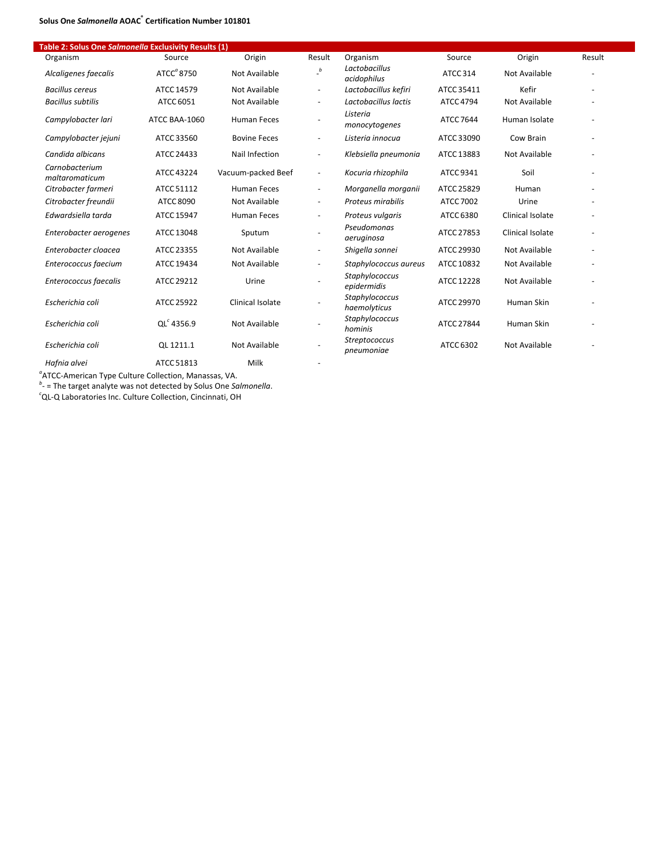## **Solus One** *Salmonella* **AOAC® Certification Number 101801**

| able 2. Solus One Summingue Exclusivity Results $(1)$<br>Organism | Source                 | Origin              | Result                     | Organism                           | Source           | Origin               | Result |
|-------------------------------------------------------------------|------------------------|---------------------|----------------------------|------------------------------------|------------------|----------------------|--------|
| Alcaligenes faecalis                                              | ATCC <sup>a</sup> 8750 | Not Available       | $\overline{\phantom{a}}^b$ | Lactobacillus<br>acidophilus       | ATCC 314         | <b>Not Available</b> |        |
| <b>Bacillus cereus</b>                                            | ATCC 14579             | Not Available       | $\overline{\phantom{a}}$   | Lactobacillus kefiri               | ATCC 35411       | Kefir                |        |
| Bacillus subtilis                                                 | ATCC 6051              | Not Available       | $\overline{\phantom{a}}$   | Lactobacillus lactis               | <b>ATCC 4794</b> | Not Available        |        |
| Campylobacter lari                                                | ATCC BAA-1060          | <b>Human Feces</b>  |                            | Listeria<br>monocytogenes          | <b>ATCC 7644</b> | Human Isolate        |        |
| Campylobacter jejuni                                              | ATCC 33560             | <b>Bovine Feces</b> | $\overline{\phantom{a}}$   | Listeria innocua                   | ATCC 33090       | Cow Brain            |        |
| Candida albicans                                                  | ATCC 24433             | Nail Infection      | $\overline{\phantom{a}}$   | Klebsiella pneumonia               | ATCC 13883       | Not Available        |        |
| Carnobacterium<br>maltaromaticum                                  | ATCC 43224             | Vacuum-packed Beef  | $\overline{\phantom{a}}$   | Kocuria rhizophila                 | ATCC 9341        | Soil                 |        |
| Citrobacter farmeri                                               | ATCC 51112             | <b>Human Feces</b>  | $\overline{\phantom{a}}$   | Morganella morganii                | ATCC 25829       | Human                |        |
| Citrobacter freundii                                              | ATCC 8090              | Not Available       | $\overline{\phantom{a}}$   | Proteus mirabilis                  | ATCC 7002        | Urine                |        |
| Edwardsiella tarda                                                | ATCC 15947             | <b>Human Feces</b>  | $\overline{\phantom{a}}$   | Proteus vulgaris                   | ATCC 6380        | Clinical Isolate     |        |
| Enterobacter aerogenes                                            | ATCC 13048             | Sputum              |                            | Pseudomonas<br>aeruginosa          | ATCC 27853       | Clinical Isolate     |        |
| Enterobacter cloacea                                              | ATCC 23355             | Not Available       | $\overline{\phantom{m}}$   | Shigella sonnei                    | ATCC 29930       | Not Available        |        |
| Enterococcus faecium                                              | ATCC 19434             | Not Available       |                            | Staphylococcus aureus              | ATCC 10832       | Not Available        |        |
| Enterococcus faecalis                                             | ATCC 29212             | Urine               |                            | Staphylococcus<br>epidermidis      | ATCC 12228       | Not Available        |        |
| Escherichia coli                                                  | ATCC 25922             | Clinical Isolate    |                            | Staphylococcus<br>haemolyticus     | ATCC 29970       | Human Skin           |        |
| Escherichia coli                                                  | $QL^c$ 4356.9          | Not Available       |                            | Staphylococcus<br>hominis          | ATCC 27844       | Human Skin           |        |
| Escherichia coli                                                  | QL 1211.1              | Not Available       |                            | <b>Streptococcus</b><br>pneumoniae | ATCC 6302        | Not Available        |        |
|                                                                   |                        |                     |                            |                                    |                  |                      |        |

*Hafnia alvei*  ATCC 51813 Milk ‐

*a* ATCC‐American Type Culture Collection, Manassas, VA. *b* ‐ = The target analyte was not detected by Solus One *Salmonella*. *c* QL‐Q Laboratories Inc. Culture Collection, Cincinnati, OH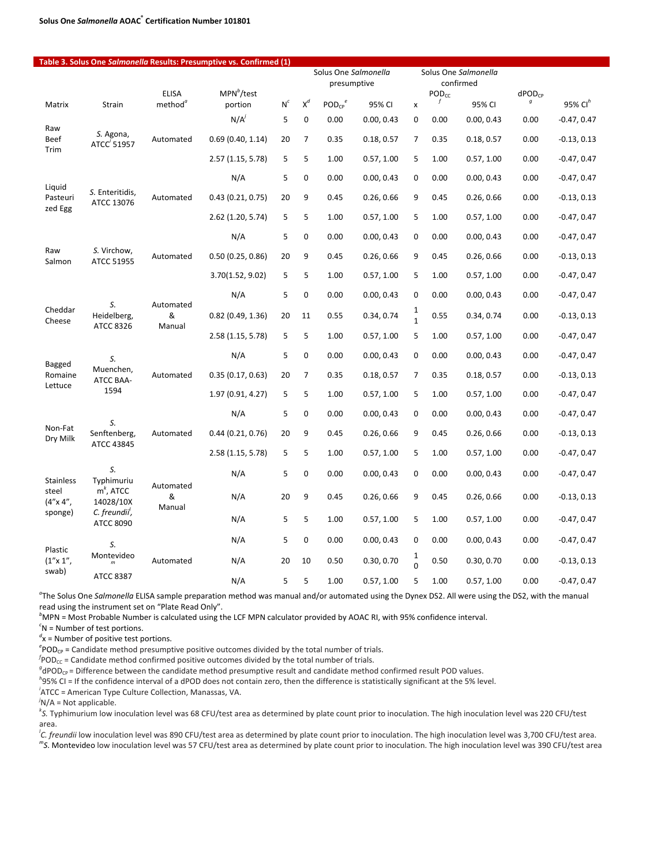|                               | Table 3. Solus One Salmonella Results: Presumptive vs. Confirmed (1) |                                     |                          |       | Solus One Salmonella<br>presumptive |              |            |                             | Solus One Salmonella<br>confirmed |            |                                 |                     |
|-------------------------------|----------------------------------------------------------------------|-------------------------------------|--------------------------|-------|-------------------------------------|--------------|------------|-----------------------------|-----------------------------------|------------|---------------------------------|---------------------|
| Matrix                        | Strain                                                               | <b>ELISA</b><br>method <sup>a</sup> | $MPN^b$ /test<br>portion | $N^c$ | $X^d$                               | $POD_{CP}^e$ | 95% CI     | $\pmb{\times}$              | <b>PODcc</b><br>f                 | 95% CI     | $dPOD_{CP}$<br>$\boldsymbol{g}$ | 95% CI <sup>h</sup> |
|                               |                                                                      |                                     | $N/A^{j}$                | 5     | $\mathbf 0$                         | 0.00         | 0.00, 0.43 | $\mathbf 0$                 | 0.00                              | 0.00, 0.43 | 0.00                            | $-0.47, 0.47$       |
| Raw<br><b>Beef</b><br>Trim    | S. Agona,<br>ATCC <sup>'</sup> 51957                                 | Automated                           | 0.69(0.40, 1.14)         | 20    | 7                                   | 0.35         | 0.18, 0.57 | $\overline{7}$              | 0.35                              | 0.18, 0.57 | 0.00                            | $-0.13, 0.13$       |
|                               |                                                                      |                                     | 2.57 (1.15, 5.78)        | 5     | 5                                   | 1.00         | 0.57, 1.00 | 5                           | 1.00                              | 0.57, 1.00 | 0.00                            | $-0.47, 0.47$       |
|                               |                                                                      |                                     | N/A                      | 5     | 0                                   | 0.00         | 0.00, 0.43 | 0                           | 0.00                              | 0.00, 0.43 | 0.00                            | $-0.47, 0.47$       |
| Liquid<br>Pasteuri<br>zed Egg | S. Enteritidis,<br>ATCC 13076                                        | Automated                           | 0.43(0.21, 0.75)         | 20    | 9                                   | 0.45         | 0.26, 0.66 | 9                           | 0.45                              | 0.26, 0.66 | 0.00                            | $-0.13, 0.13$       |
|                               |                                                                      |                                     | 2.62 (1.20, 5.74)        | 5     | 5                                   | 1.00         | 0.57, 1.00 | 5                           | 1.00                              | 0.57, 1.00 | 0.00                            | $-0.47, 0.47$       |
|                               |                                                                      |                                     | N/A                      | 5     | $\mathbf 0$                         | 0.00         | 0.00, 0.43 | 0                           | 0.00                              | 0.00, 0.43 | 0.00                            | $-0.47, 0.47$       |
| Raw<br>Salmon                 | S. Virchow,<br><b>ATCC 51955</b>                                     | Automated                           | 0.50(0.25, 0.86)         | 20    | 9                                   | 0.45         | 0.26, 0.66 | 9                           | 0.45                              | 0.26, 0.66 | 0.00                            | $-0.13, 0.13$       |
|                               |                                                                      |                                     | 3.70(1.52, 9.02)         | 5     | 5                                   | 1.00         | 0.57, 1.00 | 5                           | 1.00                              | 0.57, 1.00 | 0.00                            | $-0.47, 0.47$       |
|                               |                                                                      | Automated<br>&<br>Manual            | N/A                      | 5     | $\mathbf 0$                         | 0.00         | 0.00, 0.43 | 0                           | 0.00                              | 0.00, 0.43 | 0.00                            | $-0.47, 0.47$       |
| Cheddar<br>Cheese             | S.<br>Heidelberg,<br><b>ATCC 8326</b>                                |                                     | 0.82(0.49, 1.36)         | 20    | 11                                  | 0.55         | 0.34, 0.74 | $\frac{1}{1}$               | 0.55                              | 0.34, 0.74 | 0.00                            | $-0.13, 0.13$       |
|                               |                                                                      |                                     | 2.58 (1.15, 5.78)        | 5     | 5                                   | 1.00         | 0.57, 1.00 | 5                           | 1.00                              | 0.57, 1.00 | 0.00                            | $-0.47, 0.47$       |
| Bagged                        | S.                                                                   | Automated                           | N/A                      | 5     | $\mathbf 0$                         | 0.00         | 0.00, 0.43 | 0                           | 0.00                              | 0.00, 0.43 | 0.00                            | $-0.47, 0.47$       |
| Romaine<br>Lettuce            | Muenchen,<br>ATCC BAA-                                               |                                     | 0.35(0.17, 0.63)         | 20    | $\overline{7}$                      | 0.35         | 0.18, 0.57 | $\overline{7}$              | 0.35                              | 0.18, 0.57 | 0.00                            | $-0.13, 0.13$       |
|                               | 1594                                                                 |                                     | 1.97 (0.91, 4.27)        | 5     | 5                                   | 1.00         | 0.57, 1.00 | 5                           | 1.00                              | 0.57, 1.00 | 0.00                            | $-0.47, 0.47$       |
|                               | S.                                                                   |                                     | N/A                      | 5     | $\pmb{0}$                           | 0.00         | 0.00, 0.43 | 0                           | 0.00                              | 0.00, 0.43 | 0.00                            | $-0.47, 0.47$       |
| Non-Fat<br>Dry Milk           | Senftenberg,                                                         | Automated                           | 0.44(0.21, 0.76)         | 20    | 9                                   | 0.45         | 0.26, 0.66 | 9                           | 0.45                              | 0.26, 0.66 | 0.00                            | $-0.13, 0.13$       |
|                               | ATCC 43845                                                           |                                     | 2.58 (1.15, 5.78)        | 5     | 5                                   | 1.00         | 0.57, 1.00 | 5                           | 1.00                              | 0.57, 1.00 | 0.00                            | $-0.47, 0.47$       |
| <b>Stainless</b>              | S.<br>Typhimuriu                                                     | Automated                           | N/A                      | 5     | $\mathbf 0$                         | 0.00         | 0.00, 0.43 | 0                           | 0.00                              | 0.00, 0.43 | 0.00                            | $-0.47, 0.47$       |
| steel<br>$(4'' \times 4''$ ,  | $mk$ , ATCC<br>14028/10X                                             | &<br>Manual                         | N/A                      | 20    | 9                                   | 0.45         | 0.26, 0.66 | 9                           | 0.45                              | 0.26, 0.66 | 0.00                            | $-0.13, 0.13$       |
| sponge)                       | C. freundii <sup>'</sup> ,<br><b>ATCC 8090</b>                       |                                     | N/A                      | 5     | 5                                   | 1.00         | 0.57, 1.00 | 5                           | 1.00                              | 0.57, 1.00 | 0.00                            | $-0.47, 0.47$       |
| Plastic                       | S.                                                                   |                                     | N/A                      | 5     | $\mathbf 0$                         | 0.00         | 0.00, 0.43 | 0                           | 0.00                              | 0.00, 0.43 | 0.00                            | $-0.47, 0.47$       |
| $(1'' \times 1''$<br>swab)    | Montevideo<br>$\mathsf{m}$                                           | Automated                           | N/A                      | 20    | 10                                  | 0.50         | 0.30, 0.70 | $\mathbf{1}$<br>$\mathbf 0$ | 0.50                              | 0.30, 0.70 | 0.00                            | $-0.13, 0.13$       |
|                               | <b>ATCC 8387</b>                                                     |                                     | N/A                      | 5     | 5                                   | 1.00         | 0.57, 1.00 | 5                           | 1.00                              | 0.57, 1.00 | 0.00                            | $-0.47, 0.47$       |

*a* The Solus One *Salmonella* ELISA sample preparation method was manual and/or automated using the Dynex DS2. All were using the DS2, with the manual read using the instrument set on "Plate Read Only".

*b* MPN = Most Probable Number is calculated using the LCF MPN calculator provided by AOAC RI, with 95% confidence interval.

*c* N = Number of test portions.

*d* x = Number of positive test portions.

 $e^e$ POD<sub>CP</sub> = Candidate method presumptive positive outcomes divided by the total number of trials.  $f_{\text{POD}} =$ Candidate method confirmed positive outcomes divided by the total number of trials.

 ${}^f$ POD<sub>CC</sub> = Candidate method confirmed positive outcomes divided by the total number of trials.

 $^{g}$ dPOD<sub>CP</sub> = Difference between the candidate method presumptive result and candidate method confirmed result POD values.

95% CI = If the confidence interval of a dPOD does not contain zero, then the difference is statistically significant at the 5% level.

*i* ATCC = American Type Culture Collection, Manassas, VA.

*j* N/A = Not applicable.

*k S.* Typhimurium low inoculation level was 68 CFU/test area as determined by plate count prior to inoculation. The high inoculation level was 220 CFU/test area.

*l C. freundii* low inoculation level was 890 CFU/test area as determined by plate count prior to inoculation. The high inoculation level was 3,700 CFU/test area.

*m S*. Montevideo low inoculation level was 57 CFU/test area as determined by plate count prior to inoculation. The high inoculation level was 390 CFU/test area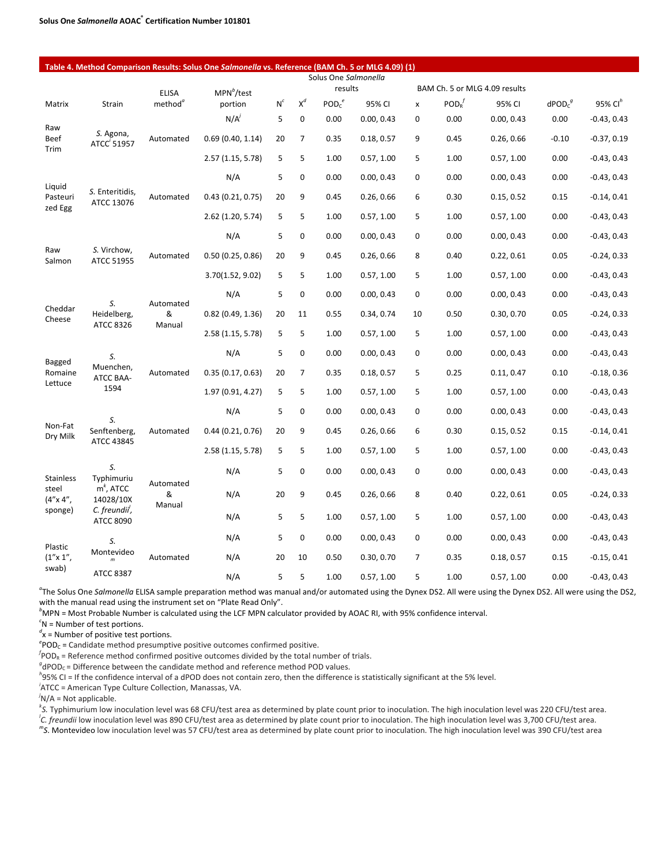| Table 4. Method Comparison Results: Solus One Salmonella vs. Reference (BAM Ch. 5 or MLG 4.09) (1)<br>Solus One Salmonella |                                                |                                     |                          |       |                |                               |            |                |                                   |                               |                       |                     |
|----------------------------------------------------------------------------------------------------------------------------|------------------------------------------------|-------------------------------------|--------------------------|-------|----------------|-------------------------------|------------|----------------|-----------------------------------|-------------------------------|-----------------------|---------------------|
|                                                                                                                            |                                                |                                     |                          |       |                | results                       |            |                |                                   | BAM Ch. 5 or MLG 4.09 results |                       |                     |
| Matrix                                                                                                                     | Strain                                         | <b>ELISA</b><br>method <sup>a</sup> | $MPN^b$ /test<br>portion | $N^c$ | $\mathsf{X}^d$ | POD <sub>c</sub> <sup>e</sup> | 95% CI     | x              | $\mathsf{POD}_{\mathsf{R}}^{\ J}$ | 95% CI                        | $\text{dPOD}_{c}^{g}$ | 95% Cl <sup>h</sup> |
|                                                                                                                            |                                                |                                     | $N/A^j$                  | 5     | 0              | 0.00                          | 0.00, 0.43 | 0              | 0.00                              | 0.00, 0.43                    | 0.00                  | $-0.43, 0.43$       |
| Raw<br>Beef                                                                                                                | S. Agona,<br>ATCC <sup>'</sup> 51957           | Automated                           | 0.69(0.40, 1.14)         | 20    | 7              | 0.35                          | 0.18, 0.57 | 9              | 0.45                              | 0.26, 0.66                    | $-0.10$               | $-0.37, 0.19$       |
| Trim                                                                                                                       |                                                |                                     | 2.57 (1.15, 5.78)        | 5     | 5              | 1.00                          | 0.57, 1.00 | 5              | 1.00                              | 0.57, 1.00                    | 0.00                  | $-0.43, 0.43$       |
| Liquid                                                                                                                     |                                                |                                     | N/A                      | 5     | 0              | 0.00                          | 0.00, 0.43 | $\mathbf 0$    | 0.00                              | 0.00, 0.43                    | 0.00                  | $-0.43, 0.43$       |
| Pasteuri<br>zed Egg                                                                                                        | S. Enteritidis,<br>ATCC 13076                  | Automated                           | 0.43(0.21, 0.75)         | 20    | 9              | 0.45                          | 0.26, 0.66 | 6              | 0.30                              | 0.15, 0.52                    | 0.15                  | $-0.14, 0.41$       |
|                                                                                                                            |                                                |                                     | 2.62 (1.20, 5.74)        | 5     | 5              | 1.00                          | 0.57, 1.00 | 5              | 1.00                              | 0.57, 1.00                    | 0.00                  | $-0.43, 0.43$       |
|                                                                                                                            |                                                |                                     | N/A                      | 5     | 0              | 0.00                          | 0.00, 0.43 | $\mathbf 0$    | 0.00                              | 0.00, 0.43                    | 0.00                  | $-0.43, 0.43$       |
| Raw<br>Salmon                                                                                                              | S. Virchow,<br>ATCC 51955                      | Automated                           | 0.50(0.25, 0.86)         | 20    | 9              | 0.45                          | 0.26, 0.66 | 8              | 0.40                              | 0.22, 0.61                    | 0.05                  | $-0.24, 0.33$       |
|                                                                                                                            |                                                |                                     | 3.70(1.52, 9.02)         | 5     | 5              | 1.00                          | 0.57, 1.00 | 5              | 1.00                              | 0.57, 1.00                    | 0.00                  | $-0.43, 0.43$       |
|                                                                                                                            | S.                                             | Automated<br>&                      | N/A                      | 5     | 0              | 0.00                          | 0.00, 0.43 | 0              | 0.00                              | 0.00, 0.43                    | 0.00                  | $-0.43, 0.43$       |
| Cheddar<br>Cheese                                                                                                          | Heidelberg,                                    |                                     | 0.82(0.49, 1.36)         | 20    | 11             | 0.55                          | 0.34, 0.74 | 10             | 0.50                              | 0.30, 0.70                    | 0.05                  | $-0.24, 0.33$       |
|                                                                                                                            | ATCC 8326                                      | Manual                              | 2.58 (1.15, 5.78)        | 5     | 5              | 1.00                          | 0.57, 1.00 | 5              | 1.00                              | 0.57, 1.00                    | 0.00                  | $-0.43, 0.43$       |
| Bagged                                                                                                                     | S.                                             |                                     | N/A                      | 5     | 0              | 0.00                          | 0.00, 0.43 | 0              | 0.00                              | 0.00, 0.43                    | 0.00                  | $-0.43, 0.43$       |
| Romaine                                                                                                                    | Muenchen,<br><b>ATCC BAA-</b>                  | Automated                           | 0.35(0.17, 0.63)         | 20    | 7              | 0.35                          | 0.18, 0.57 | 5              | 0.25                              | 0.11, 0.47                    | 0.10                  | $-0.18, 0.36$       |
| Lettuce                                                                                                                    | 1594                                           |                                     | 1.97 (0.91, 4.27)        | 5     | 5              | 1.00                          | 0.57, 1.00 | 5              | 1.00                              | 0.57, 1.00                    | 0.00                  | $-0.43, 0.43$       |
|                                                                                                                            | S.                                             |                                     | N/A                      | 5     | 0              | 0.00                          | 0.00, 0.43 | 0              | 0.00                              | 0.00, 0.43                    | 0.00                  | $-0.43, 0.43$       |
| Non-Fat<br>Dry Milk                                                                                                        | Senftenberg,<br>ATCC 43845                     | Automated                           | 0.44 (0.21, 0.76)        | 20    | 9              | 0.45                          | 0.26, 0.66 | 6              | 0.30                              | 0.15, 0.52                    | 0.15                  | $-0.14, 0.41$       |
|                                                                                                                            |                                                |                                     | 2.58 (1.15, 5.78)        | 5     | 5              | 1.00                          | 0.57, 1.00 | 5              | 1.00                              | 0.57, 1.00                    | 0.00                  | $-0.43, 0.43$       |
| Stainless                                                                                                                  | S.<br>Typhimuriu                               | Automated<br>&<br>Manual            | N/A                      | 5     | 0              | 0.00                          | 0.00, 0.43 | 0              | 0.00                              | 0.00, 0.43                    | 0.00                  | $-0.43, 0.43$       |
| steel<br>$(4'' \times 4''$ ,                                                                                               | $mk$ , ATCC<br>14028/10X                       |                                     | N/A                      | 20    | 9              | 0.45                          | 0.26, 0.66 | 8              | 0.40                              | 0.22, 0.61                    | 0.05                  | $-0.24, 0.33$       |
| sponge)                                                                                                                    | C. freundii <sup>'</sup> ,<br><b>ATCC 8090</b> |                                     | N/A                      | 5     | 5              | 1.00                          | 0.57, 1.00 | 5              | 1.00                              | 0.57, 1.00                    | 0.00                  | $-0.43, 0.43$       |
| Plastic                                                                                                                    | S.                                             |                                     | N/A                      | 5     | 0              | 0.00                          | 0.00, 0.43 | 0              | 0.00                              | 0.00, 0.43                    | 0.00                  | $-0.43, 0.43$       |
| $(1'' \times 1''$ ,                                                                                                        | Montevideo                                     | Automated                           | N/A                      | 20    | 10             | 0.50                          | 0.30, 0.70 | $\overline{7}$ | 0.35                              | 0.18, 0.57                    | 0.15                  | $-0.15, 0.41$       |
| swab)                                                                                                                      | <b>ATCC 8387</b>                               |                                     | N/A                      | 5     | 5              | 1.00                          | 0.57, 1.00 | 5              | 1.00                              | 0.57, 1.00                    | 0.00                  | $-0.43, 0.43$       |

<sup>a</sup>The Solus One Salmonella ELISA sample preparation method was manual and/or automated using the Dynex DS2. All were using the Dynex DS2. All were using the DS2, with the manual read using the instrument set on "Plate Read Only".

*b* MPN = Most Probable Number is calculated using the LCF MPN calculator provided by AOAC RI, with 95% confidence interval.

*c* N = Number of test portions.

*d* x = Number of positive test portions.

 $e^e$ POD<sub>C</sub> = Candidate method presumptive positive outcomes confirmed positive.

 ${}^f$ POD<sub>R</sub> = Reference method confirmed positive outcomes divided by the total number of trials.

 ${}^{g}$ dPOD<sub>C</sub> = Difference between the candidate method and reference method POD values.

95% CI = If the confidence interval of a dPOD does not contain zero, then the difference is statistically significant at the 5% level. *<sup>i</sup>*

 ${}^{i}$ ATCC = American Type Culture Collection, Manassas, VA.

*j* N/A = Not applicable.

*k S.* Typhimurium low inoculation level was 68 CFU/test area as determined by plate count prior to inoculation. The high inoculation level was 220 CFU/test area.

<sup>*l*</sup>C. *freundii* low inoculation level was 890 CFU/test area as determined by plate count prior to inoculation. The high inoculation level was 3,700 CFU/test area.<br><sup>m</sup>s. Mantavideo low inoculation level was 57 CFU/test a

*S*. Montevideo low inoculation level was 57 CFU/test area as determined by plate count prior to inoculation. The high inoculation level was 390 CFU/test area